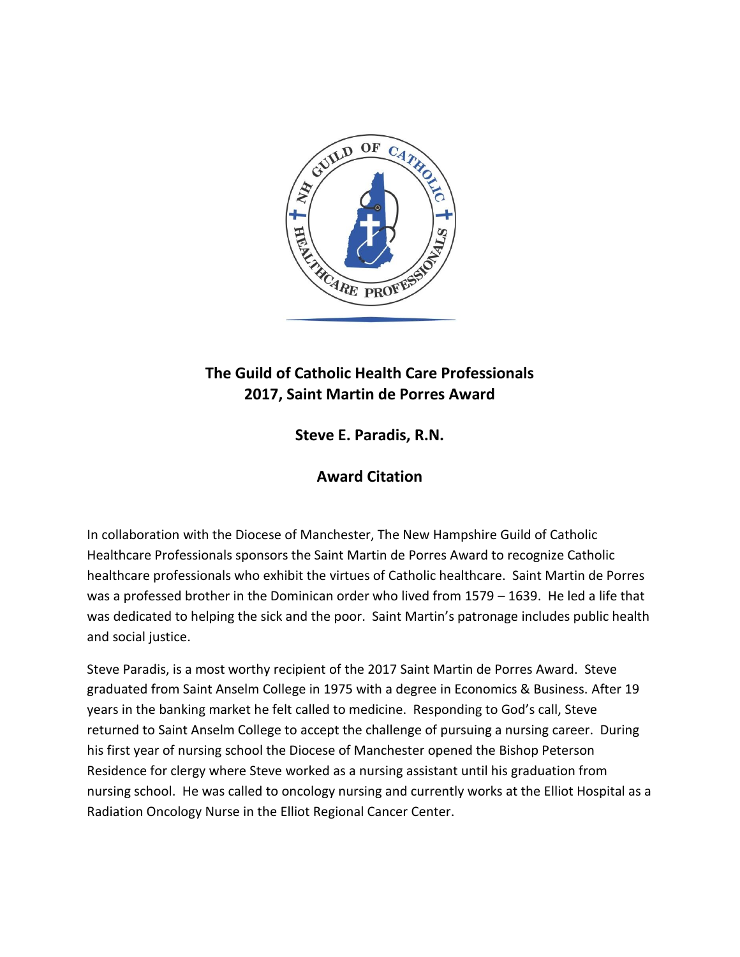

## **The Guild of Catholic Health Care Professionals 2017, Saint Martin de Porres Award**

**Steve E. Paradis, R.N.** 

## **Award Citation**

In collaboration with the Diocese of Manchester, The New Hampshire Guild of Catholic Healthcare Professionals sponsors the Saint Martin de Porres Award to recognize Catholic healthcare professionals who exhibit the virtues of Catholic healthcare. Saint Martin de Porres was a professed brother in the Dominican order who lived from 1579 – 1639. He led a life that was dedicated to helping the sick and the poor. Saint Martin's patronage includes public health and social justice.

Steve Paradis, is a most worthy recipient of the 2017 Saint Martin de Porres Award. Steve graduated from Saint Anselm College in 1975 with a degree in Economics & Business. After 19 years in the banking market he felt called to medicine. Responding to God's call, Steve returned to Saint Anselm College to accept the challenge of pursuing a nursing career. During his first year of nursing school the Diocese of Manchester opened the Bishop Peterson Residence for clergy where Steve worked as a nursing assistant until his graduation from nursing school. He was called to oncology nursing and currently works at the Elliot Hospital as a Radiation Oncology Nurse in the Elliot Regional Cancer Center.